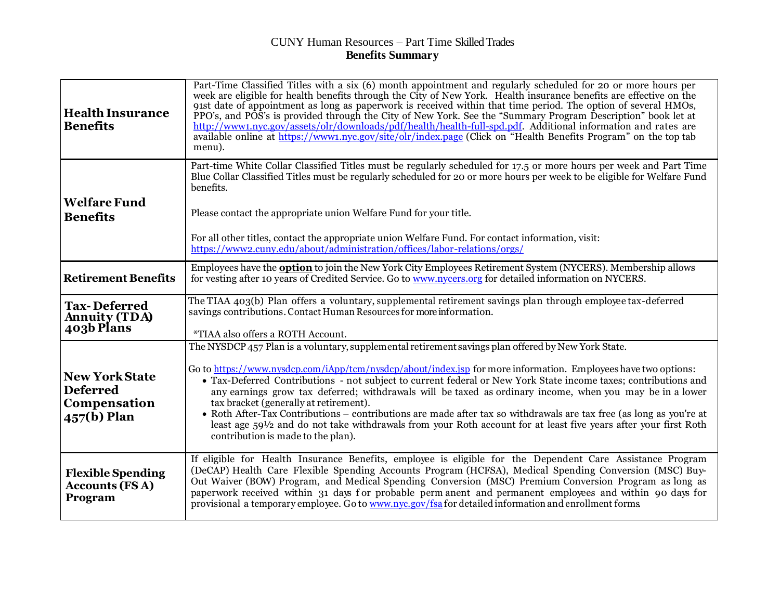## CUNY Human Resources – Part Time SkilledTrades **Benefits Summary**

| <b>Health Insurance</b><br><b>Benefits</b>                              | Part-Time Classified Titles with a six (6) month appointment and regularly scheduled for 20 or more hours per<br>week are eligible for health benefits through the City of New York. Health insurance benefits are effective on the<br>91st date of appointment as long as paperwork is received within that time period. The option of several HMOs,<br>PPO's, and POS's is provided through the City of New York. See the "Summary Program Description" book let at<br>http://www1.nyc.gov/assets/olr/downloads/pdf/health/health-full-spd.pdf. Additional information and rates are<br>available online at https://www1.nyc.gov/site/olr/index.page (Click on "Health Benefits Program" on the top tab<br>menu).                                                                       |  |
|-------------------------------------------------------------------------|-------------------------------------------------------------------------------------------------------------------------------------------------------------------------------------------------------------------------------------------------------------------------------------------------------------------------------------------------------------------------------------------------------------------------------------------------------------------------------------------------------------------------------------------------------------------------------------------------------------------------------------------------------------------------------------------------------------------------------------------------------------------------------------------|--|
| <b>Welfare Fund</b><br><b>Benefits</b>                                  | Part-time White Collar Classified Titles must be regularly scheduled for 17.5 or more hours per week and Part Time<br>Blue Collar Classified Titles must be regularly scheduled for 20 or more hours per week to be eligible for Welfare Fund<br>benefits.<br>Please contact the appropriate union Welfare Fund for your title.<br>For all other titles, contact the appropriate union Welfare Fund. For contact information, visit:<br>https://www2.cuny.edu/about/administration/offices/labor-relations/orgs/                                                                                                                                                                                                                                                                          |  |
| <b>Retirement Benefits</b>                                              | Employees have the <b>option</b> to join the New York City Employees Retirement System (NYCERS). Membership allows<br>for vesting after 10 years of Credited Service. Go to www.nycers.org for detailed information on NYCERS.                                                                                                                                                                                                                                                                                                                                                                                                                                                                                                                                                            |  |
| <b>Tax-Deferred</b><br><b>Annuity (TDA)</b><br>403b Plans               | The TIAA 403(b) Plan offers a voluntary, supplemental retirement savings plan through employee tax-deferred<br>savings contributions. Contact Human Resources for more information.<br>*TIAA also offers a ROTH Account.                                                                                                                                                                                                                                                                                                                                                                                                                                                                                                                                                                  |  |
| <b>New York State</b><br><b>Deferred</b><br>Compensation<br>457(b) Plan | The NYSDCP 457 Plan is a voluntary, supplemental retirement savings plan offered by New York State.<br>Go to https://www.nysdcp.com/iApp/tcm/nysdcp/about/index.jsp for more information. Employees have two options:<br>• Tax-Deferred Contributions - not subject to current federal or New York State income taxes; contributions and<br>any earnings grow tax deferred; withdrawals will be taxed as ordinary income, when you may be in a lower<br>tax bracket (generally at retirement).<br>• Roth After-Tax Contributions – contributions are made after tax so withdrawals are tax free (as long as you're at<br>least age $59\frac{1}{2}$ and do not take withdrawals from your Roth account for at least five years after your first Roth<br>contribution is made to the plan). |  |
| <b>Flexible Spending</b><br><b>Accounts (FSA)</b><br>Program            | If eligible for Health Insurance Benefits, employee is eligible for the Dependent Care Assistance Program<br>(DeCAP) Health Care Flexible Spending Accounts Program (HCFSA), Medical Spending Conversion (MSC) Buy-<br>Out Waiver (BOW) Program, and Medical Spending Conversion (MSC) Premium Conversion Program as long as<br>paperwork received within 31 days for probable perm anent and permanent employees and within 90 days for<br>provisional a temporary employee. Go to www.nyc.gov/fsa for detailed information and enrollment forms                                                                                                                                                                                                                                         |  |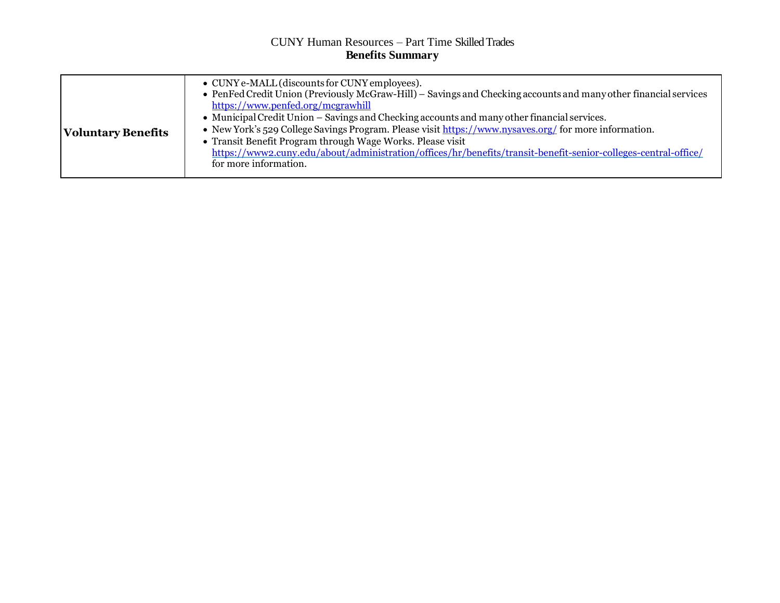## CUNY Human Resources – Part Time SkilledTrades **Benefits Summary**

| <b>Voluntary Benefits</b> | • CUNY e-MALL (discounts for CUNY employees).<br>• PenFed Credit Union (Previously McGraw-Hill) – Savings and Checking accounts and many other financial services<br>https://www.penfed.org/mcgrawhill<br>• Municipal Credit Union – Savings and Checking accounts and many other financial services.<br>• New York's 529 College Savings Program. Please visit https://www.nysaves.org/ for more information.<br>• Transit Benefit Program through Wage Works. Please visit<br>https://www2.cuny.edu/about/administration/offices/hr/benefits/transit-benefit-senior-colleges-central-office/<br>for more information. |
|---------------------------|-------------------------------------------------------------------------------------------------------------------------------------------------------------------------------------------------------------------------------------------------------------------------------------------------------------------------------------------------------------------------------------------------------------------------------------------------------------------------------------------------------------------------------------------------------------------------------------------------------------------------|
|---------------------------|-------------------------------------------------------------------------------------------------------------------------------------------------------------------------------------------------------------------------------------------------------------------------------------------------------------------------------------------------------------------------------------------------------------------------------------------------------------------------------------------------------------------------------------------------------------------------------------------------------------------------|